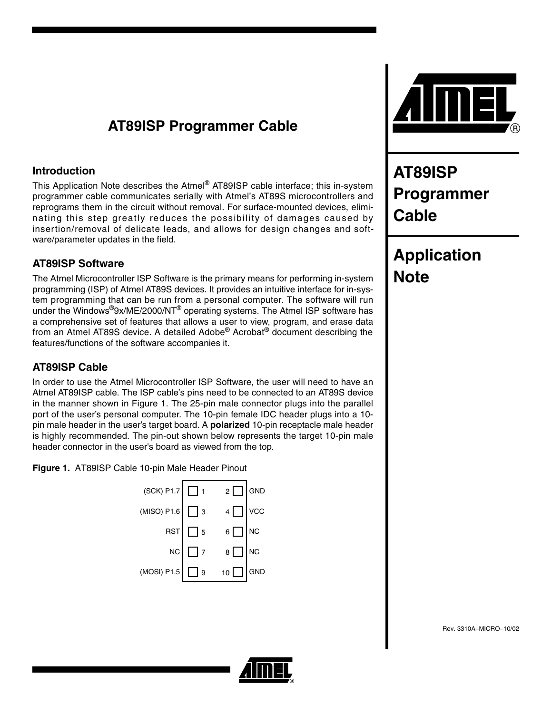# **AT89ISP Programmer Cable**

## **Introduction**

This Application Note describes the Atmel® AT89ISP cable interface; this in-system programmer cable communicates serially with Atmel's AT89S microcontrollers and reprograms them in the circuit without removal. For surface-mounted devices, eliminating this step greatly reduces the possibility of damages caused by insertion/removal of delicate leads, and allows for design changes and software/parameter updates in the field.

## **AT89ISP Software**

The Atmel Microcontroller ISP Software is the primary means for performing in-system programming (ISP) of Atmel AT89S devices. It provides an intuitive interface for in-system programming that can be run from a personal computer. The software will run under the Windows®9x/ME/2000/NT® operating systems. The Atmel ISP software has a comprehensive set of features that allows a user to view, program, and erase data from an Atmel AT89S device. A detailed Adobe® Acrobat® document describing the features/functions of the software accompanies it.

# **AT89ISP Cable**

In order to use the Atmel Microcontroller ISP Software, the user will need to have an Atmel AT89ISP cable. The ISP cable's pins need to be connected to an AT89S device in the manner shown in Figure 1. The 25-pin male connector plugs into the parallel port of the user's personal computer. The 10-pin female IDC header plugs into a 10 pin male header in the user's target board. A **polarized** 10-pin receptacle male header is highly recommended. The pin-out shown below represents the target 10-pin male header connector in the user's board as viewed from the top.

**Figure 1.** AT89ISP Cable 10-pin Male Header Pinout

| $(SCK)$ P1.7 $\boxed{ }$ 1 |                | $2\Box$     | GND       |
|----------------------------|----------------|-------------|-----------|
| (MISO) P1.6 $\Box$         | ] з            | $4\Box$     | VCC       |
|                            | $RST$ $\Box$ 5 | $6\Box$     | NC        |
| NC                         | $\Box$ 7       | $8\Box$     | <b>NC</b> |
| (MOSI) P1.5                | $\Box$ 9       | $10$ $\Box$ | GND       |



# **AT89ISP Programmer Cable**

# **Application Note**

Rev. 3310A–MICRO–10/02

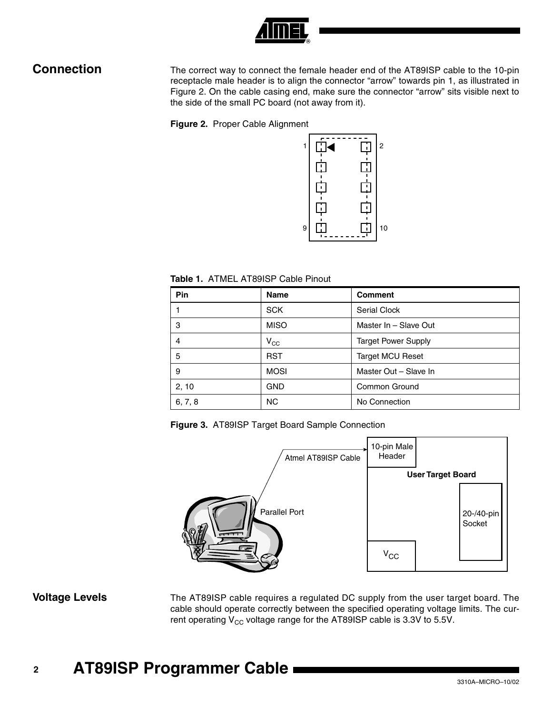

**Connection** The correct way to connect the female header end of the AT89ISP cable to the 10-pin receptacle male header is to align the connector "arrow" towards pin 1, as illustrated in [Figure 2](#page-1-0). On the cable casing end, make sure the connector "arrow" sits visible next to the side of the small PC board (not away from it).

<span id="page-1-0"></span>**Figure 2.** Proper Cable Alignment



**Table 1.** ATMEL AT89ISP Cable Pinout

| Pin     | Name         | <b>Comment</b>             |
|---------|--------------|----------------------------|
|         | <b>SCK</b>   | Serial Clock               |
| 3       | <b>MISO</b>  | Master In - Slave Out      |
| 4       | $V_{\rm CC}$ | <b>Target Power Supply</b> |
| 5       | <b>RST</b>   | <b>Target MCU Reset</b>    |
| 9       | <b>MOSI</b>  | Master Out - Slave In      |
| 2, 10   | <b>GND</b>   | <b>Common Ground</b>       |
| 6, 7, 8 | <b>NC</b>    | No Connection              |

**Figure 3.** AT89ISP Target Board Sample Connection



**Voltage Levels** The AT89ISP cable requires a regulated DC supply from the user target board. The cable should operate correctly between the specified operating voltage limits. The current operating  $V_{CC}$  voltage range for the AT89ISP cable is 3.3V to 5.5V.

# **<sup>2</sup> AT89ISP Programmer Cable**